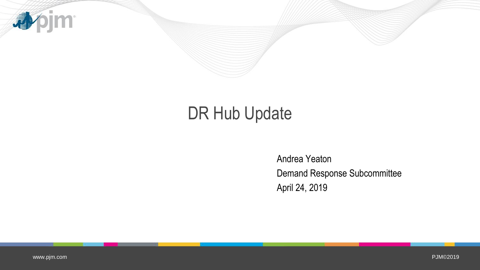

# DR Hub Update

Andrea Yeaton Demand Response Subcommittee April 24, 2019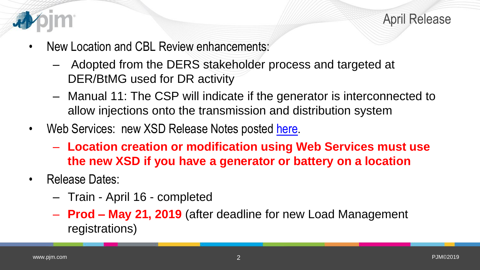

April Release

- New Location and CBL Review enhancements:
	- Adopted from the DERS stakeholder process and targeted at DER/BtMG used for DR activity
	- Manual 11: The CSP will indicate if the generator is interconnected to allow injections onto the transmission and distribution system
- Web Services: new XSD Release Notes posted [here.](https://pjm.com/-/media/etools/dr-hub/dr-hub-xsd-april-2019-release-notes.ashx?la=en)
	- **Location creation or modification using Web Services must use the new XSD if you have a generator or battery on a location**
- Release Dates:
	- Train April 16 completed
	- **Prod – May 21, 2019** (after deadline for new Load Management registrations)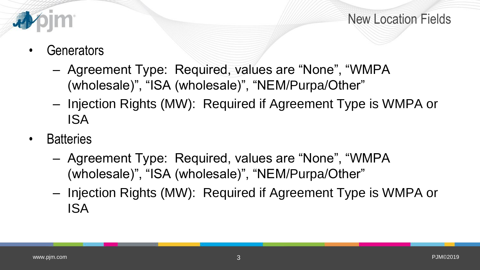

New Location Fields

- Generators
	- Agreement Type: Required, values are "None", "WMPA (wholesale)", "ISA (wholesale)", "NEM/Purpa/Other"
	- Injection Rights (MW): Required if Agreement Type is WMPA or ISA
- Batteries
	- Agreement Type: Required, values are "None", "WMPA (wholesale)", "ISA (wholesale)", "NEM/Purpa/Other"
	- Injection Rights (MW): Required if Agreement Type is WMPA or ISA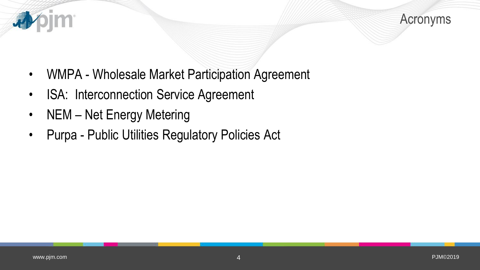



- WMPA Wholesale Market Participation Agreement
- ISA: Interconnection Service Agreement
- NEM Net Energy Metering
- Purpa Public Utilities Regulatory Policies Act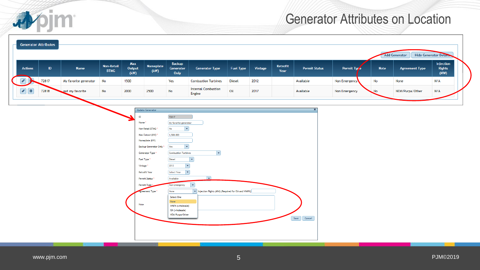

#### Generator Attributes on Location

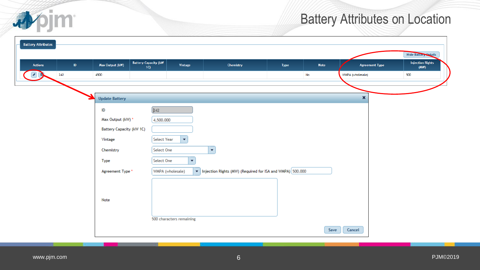

## Battery Attributes on Location

| $\mathsf{ID}^-$<br><b>Actions</b> | <b>Battery Capacity (kW</b><br>Max Output (kW)<br>1C) | Vintage                             | Chemistry                                                   | Type | <b>Note</b> | <b>Agreement Type</b> | <b>Injection Rights</b><br>(MW) |
|-----------------------------------|-------------------------------------------------------|-------------------------------------|-------------------------------------------------------------|------|-------------|-----------------------|---------------------------------|
| $\bigcirc$<br>$242$               | 4500                                                  |                                     |                                                             |      | No          | WMPA (wholesale)      | 500                             |
|                                   |                                                       |                                     |                                                             |      |             |                       |                                 |
|                                   | <b>Update Battery</b>                                 |                                     |                                                             |      |             | $\pmb{\times}$        |                                 |
|                                   | ID                                                    | ( <b>242</b>                        |                                                             |      |             |                       |                                 |
|                                   | Max Output (kW) *                                     | 4,500.000                           |                                                             |      |             |                       |                                 |
|                                   | <b>Battery Capacity (kW 1C)</b>                       |                                     |                                                             |      |             |                       |                                 |
|                                   | Vintage                                               | $\blacktriangledown$<br>Select Year |                                                             |      |             |                       |                                 |
|                                   | Chemistry                                             | Select One                          | $\mathbf{v}$                                                |      |             |                       |                                 |
|                                   | Type                                                  | Select One<br>$\blacktriangledown$  |                                                             |      |             |                       |                                 |
|                                   | Agreement Type *                                      | WMPA (wholesale)                    | ▼ Injection Rights (MW) (Required for ISA and WMPA) 500.000 |      |             |                       |                                 |
|                                   |                                                       |                                     |                                                             |      |             |                       |                                 |
|                                   |                                                       |                                     |                                                             |      |             |                       |                                 |
|                                   | Note                                                  |                                     |                                                             |      |             |                       |                                 |
|                                   |                                                       |                                     |                                                             |      |             |                       |                                 |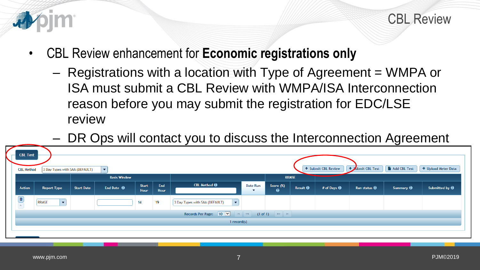



- CBL Review enhancement for **Economic registrations only**
	- Registrations with a location with Type of Agreement = WMPA or ISA must submit a CBL Review with WMPA/ISA Interconnection reason before you may submit the registration for EDC/LSE review

– DR Ops will contact you to discuss the Interconnection Agreement

|                                                                                                          | – DR Ops will contact you to discuss the interconnection Agreement                                 |                   |                                                 |                             |             |                                       |          |                                    |                 |                    |                     |                  |                       |
|----------------------------------------------------------------------------------------------------------|----------------------------------------------------------------------------------------------------|-------------------|-------------------------------------------------|-----------------------------|-------------|---------------------------------------|----------|------------------------------------|-----------------|--------------------|---------------------|------------------|-----------------------|
|                                                                                                          | <b>CBL Test</b><br>Add CBL Test<br>+ Submit CBL Review<br>+ Submit CBL Test<br>+ Upload Meter Data |                   |                                                 |                             |             |                                       |          |                                    |                 |                    |                     |                  |                       |
| <b>CBL Method</b>                                                                                        | 3 Day Types with SAA (DEFAULT)                                                                     |                   | $\overline{\phantom{a}}$<br><b>Basis Window</b> |                             |             | <b>RRMSE</b>                          |          |                                    |                 |                    |                     |                  |                       |
| <b>Action</b>                                                                                            | <b>Report Type</b>                                                                                 | <b>Start Date</b> | End Date $\Theta$                               | <b>Start</b><br><b>Hour</b> | End<br>Hour | CBL Method $\Theta$                   | Date Run | Score (%)<br>$\boldsymbol{\Theta}$ | Result $\Theta$ | # of Days $\Theta$ | Run status $\Theta$ | Summary $\Theta$ | Submitted by $\Theta$ |
|                                                                                                          | $\mathbf{r}$<br><b>RRMSE</b>                                                                       |                   |                                                 | 14                          | 19          | 3 Day Types with SAA (DEFAULT)<br>▏▼▏ |          |                                    |                 |                    |                     |                  |                       |
| Records Per Page: $10 \, \triangleright$<br>$(1 \text{ of } 1)$ $\Rightarrow$ $\Rightarrow$<br>$14$ $-4$ |                                                                                                    |                   |                                                 |                             |             |                                       |          |                                    |                 |                    |                     |                  |                       |
| 1 $record(s)$                                                                                            |                                                                                                    |                   |                                                 |                             |             |                                       |          |                                    |                 |                    |                     |                  |                       |
|                                                                                                          |                                                                                                    |                   |                                                 |                             |             |                                       |          |                                    |                 |                    |                     |                  |                       |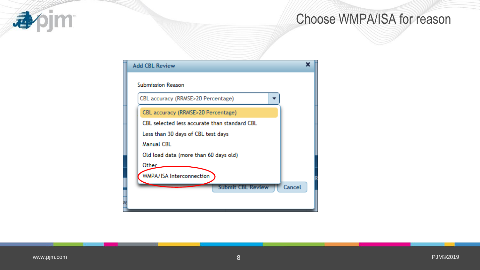

#### Choose WMPA/ISA for reason

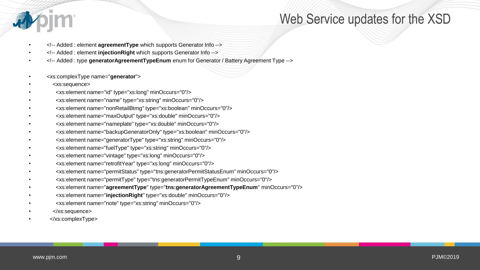### Web Service updates for the XSD

- <!-- Added : element **agreementType** which supports Generator Info -->
- <!-- Added : element **injectionRight** which supports Generator Info -->
- <!-- Added : type **generatorAgreementTypeEnum** enum for Generator / Battery Agreement Type -->
- <xs:complexType name="**generator**">
- <xs:sequence>
- <xs:element name="id" type="xs:long" minOccurs="0"/>
- <xs:element name="name" type="xs:string" minOccurs="0"/>
- <xs:element name="nonRetailBtmg" type="xs:boolean" minOccurs="0"/>
- <xs:element name="maxOutput" type="xs:double" minOccurs="0"/>
- <xs:element name="nameplate" type="xs:double" minOccurs="0"/>
- <xs:element name="backupGeneratorOnly" type="xs:boolean" minOccurs="0"/>
- <xs:element name="generatorType" type="xs:string" minOccurs="0"/>
- <xs:element name="fuelType" type="xs:string" minOccurs="0"/>
- <xs:element name="vintage" type="xs:long" minOccurs="0"/>
- <xs:element name="retrofitYear" type="xs:long" minOccurs="0"/>
- <xs:element name="permitStatus" type="tns:generatorPermitStatusEnum" minOccurs="0"/>
- <xs:element name="permitType" type="tns:generatorPermitTypeEnum" minOccurs="0"/>
- <xs:element name="**agreementType**" type="**tns:generatorAgreementTypeEnum**" minOccurs="0"/>
- <xs:element name="**injectionRight**" type="xs:double" minOccurs="0"/>
- <xs:element name="note" type="xs:string" minOccurs="0"/>
- </xs:sequence>
- </xs:complexType>